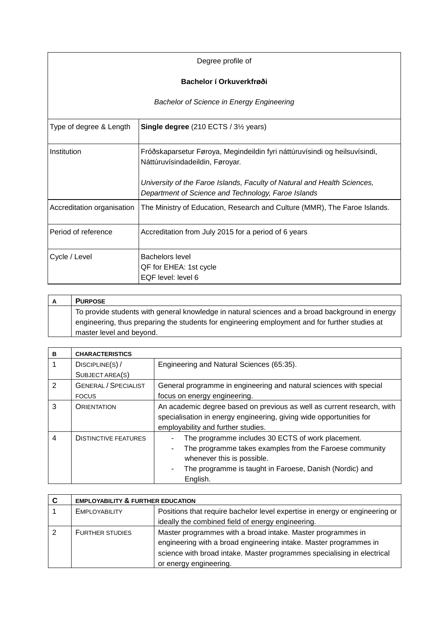| Degree profile of                                |                                                                                                                                 |  |
|--------------------------------------------------|---------------------------------------------------------------------------------------------------------------------------------|--|
| Bachelor í Orkuverkfrøði                         |                                                                                                                                 |  |
| <b>Bachelor of Science in Energy Engineering</b> |                                                                                                                                 |  |
| Type of degree & Length                          | <b>Single degree</b> (210 ECTS / 3 <sup>1/2</sup> years)                                                                        |  |
| Institution                                      | Fróðskaparsetur Føroya, Megindeildin fyri náttúruvísindi og heilsuvísindi,<br>Náttúruvísindadeildin, Føroyar.                   |  |
|                                                  | University of the Faroe Islands, Faculty of Natural and Health Sciences,<br>Department of Science and Technology, Faroe Islands |  |
| Accreditation organisation                       | The Ministry of Education, Research and Culture (MMR), The Faroe Islands.                                                       |  |
| Period of reference                              | Accreditation from July 2015 for a period of 6 years                                                                            |  |
| Cycle / Level                                    | <b>Bachelors level</b><br>QF for EHEA: 1st cycle<br>EQF level: level 6                                                          |  |

| A | <b>PURPOSE</b>                                                                                  |
|---|-------------------------------------------------------------------------------------------------|
|   | To provide students with general knowledge in natural sciences and a broad background in energy |
|   | engineering, thus preparing the students for engineering employment and for further studies at  |
|   | master level and beyond.                                                                        |

| в             | <b>CHARACTERISTICS</b>      |                                                                        |
|---------------|-----------------------------|------------------------------------------------------------------------|
|               | DISCIPLINE(S) /             | Engineering and Natural Sciences (65:35).                              |
|               | SUBJECT AREA(S)             |                                                                        |
| $\mathcal{P}$ | <b>GENERAL / SPECIALIST</b> | General programme in engineering and natural sciences with special     |
|               | <b>FOCUS</b>                | focus on energy engineering.                                           |
| 3             | <b>ORIENTATION</b>          | An academic degree based on previous as well as current research, with |
|               |                             | specialisation in energy engineering, giving wide opportunities for    |
|               |                             | employability and further studies.                                     |
| 4             | <b>DISTINCTIVE FEATURES</b> | The programme includes 30 ECTS of work placement.                      |
|               |                             | The programme takes examples from the Faroese community<br>٠           |
|               |                             | whenever this is possible.                                             |
|               |                             | The programme is taught in Faroese, Danish (Nordic) and<br>٠           |
|               |                             | English.                                                               |

| C | <b>EMPLOYABILITY &amp; FURTHER EDUCATION</b> |                                                                                                                                                                                                                                       |
|---|----------------------------------------------|---------------------------------------------------------------------------------------------------------------------------------------------------------------------------------------------------------------------------------------|
|   | <b>EMPLOYABILITY</b>                         | Positions that require bachelor level expertise in energy or engineering or                                                                                                                                                           |
|   |                                              | ideally the combined field of energy engineering.                                                                                                                                                                                     |
|   | <b>FURTHER STUDIES</b>                       | Master programmes with a broad intake. Master programmes in<br>engineering with a broad engineering intake. Master programmes in<br>science with broad intake. Master programmes specialising in electrical<br>or energy engineering. |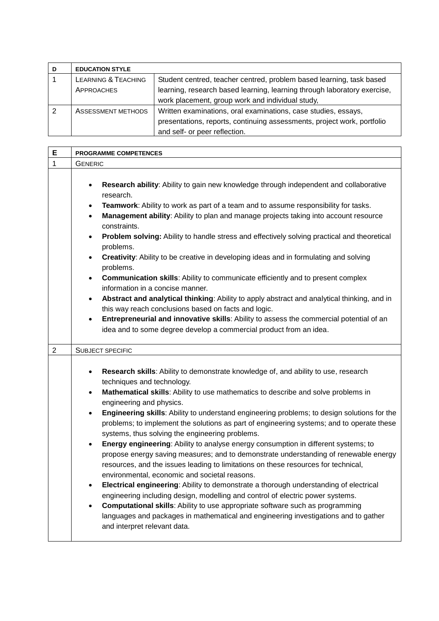| <b>EDUCATION STYLE</b>                       |                                                                                                                                                                            |
|----------------------------------------------|----------------------------------------------------------------------------------------------------------------------------------------------------------------------------|
| <b>LEARNING &amp; TEACHING</b><br>APPROACHES | Student centred, teacher centred, problem based learning, task based<br>learning, research based learning, learning through laboratory exercise,                           |
|                                              | work placement, group work and individual study,                                                                                                                           |
| ASSESSMENT METHODS                           | Written examinations, oral examinations, case studies, essays,<br>presentations, reports, continuing assessments, project work, portfolio<br>and self- or peer reflection. |

| E              | <b>PROGRAMME COMPETENCES</b>                                                                                                                                                                                                                                                                                                                                                                        |  |
|----------------|-----------------------------------------------------------------------------------------------------------------------------------------------------------------------------------------------------------------------------------------------------------------------------------------------------------------------------------------------------------------------------------------------------|--|
| 1              | <b>GENERIC</b>                                                                                                                                                                                                                                                                                                                                                                                      |  |
|                |                                                                                                                                                                                                                                                                                                                                                                                                     |  |
|                | Research ability: Ability to gain new knowledge through independent and collaborative<br>$\bullet$<br>research.                                                                                                                                                                                                                                                                                     |  |
|                | Teamwork: Ability to work as part of a team and to assume responsibility for tasks.<br>$\bullet$                                                                                                                                                                                                                                                                                                    |  |
|                | Management ability: Ability to plan and manage projects taking into account resource<br>$\bullet$<br>constraints.                                                                                                                                                                                                                                                                                   |  |
|                | Problem solving: Ability to handle stress and effectively solving practical and theoretical<br>$\bullet$<br>problems.                                                                                                                                                                                                                                                                               |  |
|                | Creativity: Ability to be creative in developing ideas and in formulating and solving<br>$\bullet$<br>problems.                                                                                                                                                                                                                                                                                     |  |
|                | <b>Communication skills:</b> Ability to communicate efficiently and to present complex<br>$\bullet$<br>information in a concise manner.                                                                                                                                                                                                                                                             |  |
|                | Abstract and analytical thinking: Ability to apply abstract and analytical thinking, and in<br>$\bullet$<br>this way reach conclusions based on facts and logic.                                                                                                                                                                                                                                    |  |
|                | Entrepreneurial and innovative skills: Ability to assess the commercial potential of an<br>$\bullet$                                                                                                                                                                                                                                                                                                |  |
|                | idea and to some degree develop a commercial product from an idea.                                                                                                                                                                                                                                                                                                                                  |  |
|                |                                                                                                                                                                                                                                                                                                                                                                                                     |  |
| $\overline{2}$ | <b>SUBJECT SPECIFIC</b>                                                                                                                                                                                                                                                                                                                                                                             |  |
|                | Research skills: Ability to demonstrate knowledge of, and ability to use, research<br>$\bullet$<br>techniques and technology.                                                                                                                                                                                                                                                                       |  |
|                | Mathematical skills: Ability to use mathematics to describe and solve problems in<br>$\bullet$<br>engineering and physics.                                                                                                                                                                                                                                                                          |  |
|                | Engineering skills: Ability to understand engineering problems; to design solutions for the<br>$\bullet$<br>problems; to implement the solutions as part of engineering systems; and to operate these<br>systems, thus solving the engineering problems.                                                                                                                                            |  |
|                | Energy engineering: Ability to analyse energy consumption in different systems; to<br>$\bullet$<br>propose energy saving measures; and to demonstrate understanding of renewable energy<br>resources, and the issues leading to limitations on these resources for technical,<br>environmental, economic and societal reasons.                                                                      |  |
|                | Electrical engineering: Ability to demonstrate a thorough understanding of electrical<br>engineering including design, modelling and control of electric power systems.<br><b>Computational skills:</b> Ability to use appropriate software such as programming<br>$\bullet$<br>languages and packages in mathematical and engineering investigations and to gather<br>and interpret relevant data. |  |